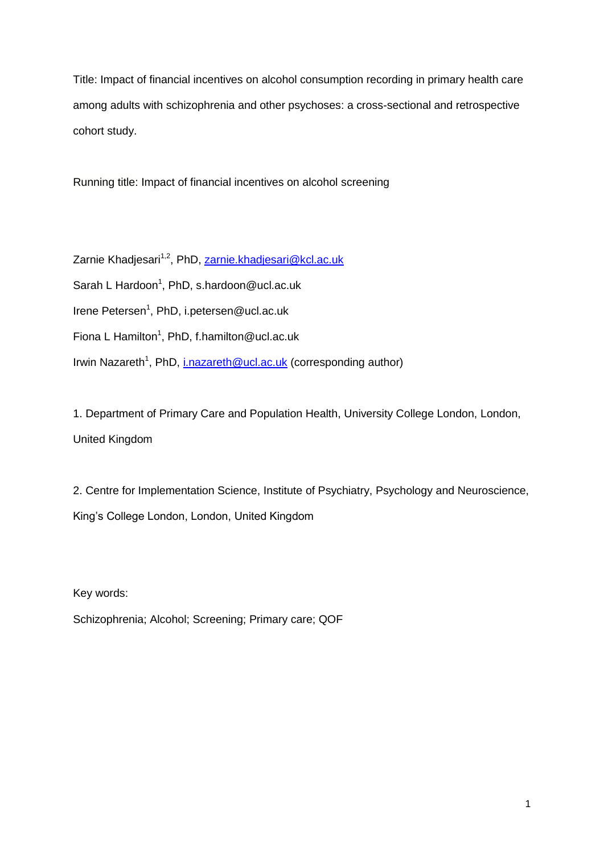Title: Impact of financial incentives on alcohol consumption recording in primary health care among adults with schizophrenia and other psychoses: a cross-sectional and retrospective cohort study.

Running title: Impact of financial incentives on alcohol screening

Zarnie Khadjesari<sup>1,2</sup>, PhD, [zarnie.khadjesari@kcl.ac.uk](mailto:zarnie.khadjesari@kcl.ac.uk) Sarah L Hardoon<sup>1</sup>, PhD, s.hardoon@ucl.ac.uk Irene Petersen<sup>1</sup>, PhD, i.petersen@ucl.ac.uk Fiona L Hamilton<sup>1</sup>, PhD, f.hamilton@ucl.ac.uk Irwin Nazareth<sup>1</sup>, PhD, *i.nazareth@ucl.ac.uk* (corresponding author)

1. Department of Primary Care and Population Health, University College London, London, United Kingdom

2. Centre for Implementation Science, Institute of Psychiatry, Psychology and Neuroscience, King's College London, London, United Kingdom

Key words: Schizophrenia; Alcohol; Screening; Primary care; QOF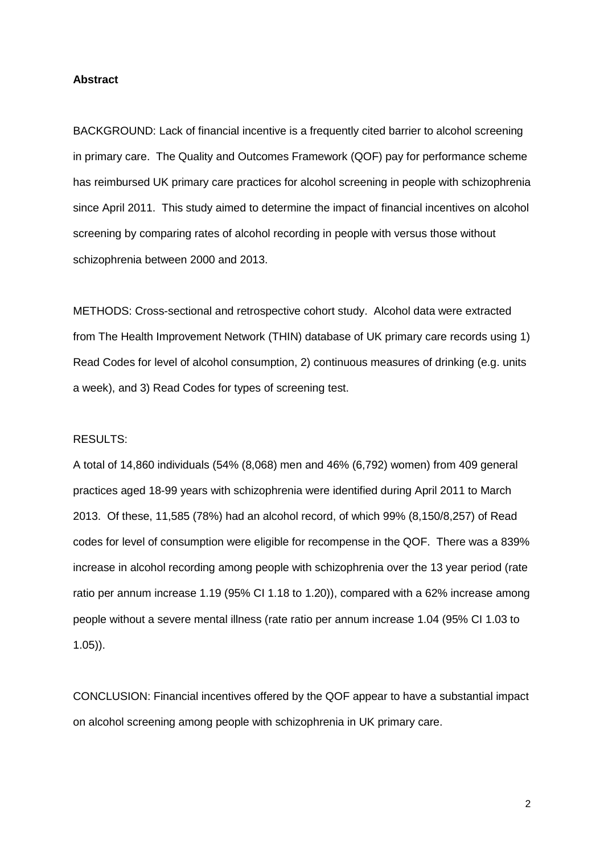### **Abstract**

BACKGROUND: Lack of financial incentive is a frequently cited barrier to alcohol screening in primary care. The Quality and Outcomes Framework (QOF) pay for performance scheme has reimbursed UK primary care practices for alcohol screening in people with schizophrenia since April 2011. This study aimed to determine the impact of financial incentives on alcohol screening by comparing rates of alcohol recording in people with versus those without schizophrenia between 2000 and 2013.

METHODS: Cross-sectional and retrospective cohort study. Alcohol data were extracted from The Health Improvement Network (THIN) database of UK primary care records using 1) Read Codes for level of alcohol consumption, 2) continuous measures of drinking (e.g. units a week), and 3) Read Codes for types of screening test.

# RESULTS:

A total of 14,860 individuals (54% (8,068) men and 46% (6,792) women) from 409 general practices aged 18-99 years with schizophrenia were identified during April 2011 to March 2013. Of these, 11,585 (78%) had an alcohol record, of which 99% (8,150/8,257) of Read codes for level of consumption were eligible for recompense in the QOF. There was a 839% increase in alcohol recording among people with schizophrenia over the 13 year period (rate ratio per annum increase 1.19 (95% CI 1.18 to 1.20)), compared with a 62% increase among people without a severe mental illness (rate ratio per annum increase 1.04 (95% CI 1.03 to 1.05)).

CONCLUSION: Financial incentives offered by the QOF appear to have a substantial impact on alcohol screening among people with schizophrenia in UK primary care.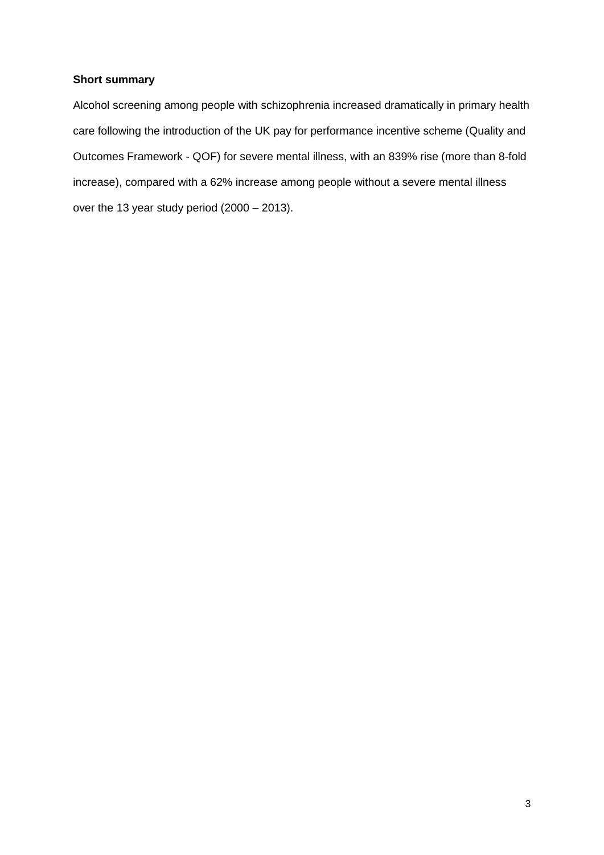# **Short summary**

Alcohol screening among people with schizophrenia increased dramatically in primary health care following the introduction of the UK pay for performance incentive scheme (Quality and Outcomes Framework - QOF) for severe mental illness, with an 839% rise (more than 8-fold increase), compared with a 62% increase among people without a severe mental illness over the 13 year study period (2000 – 2013).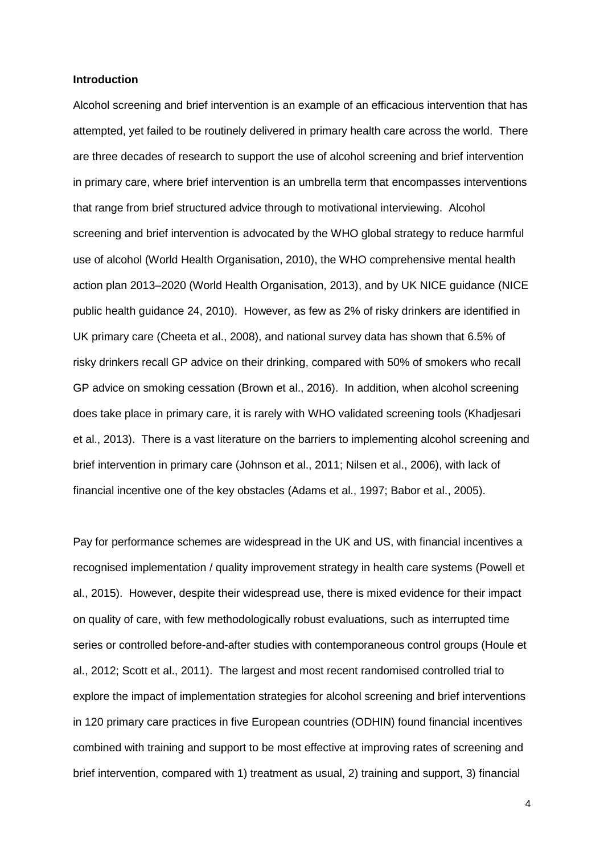#### **Introduction**

Alcohol screening and brief intervention is an example of an efficacious intervention that has attempted, yet failed to be routinely delivered in primary health care across the world. There are three decades of research to support the use of alcohol screening and brief intervention in primary care, where brief intervention is an umbrella term that encompasses interventions that range from brief structured advice through to motivational interviewing. Alcohol screening and brief intervention is advocated by the WHO global strategy to reduce harmful use of alcohol (World Health Organisation, 2010), the WHO comprehensive mental health action plan 2013–2020 (World Health Organisation, 2013), and by UK NICE guidance (NICE public health guidance 24, 2010). However, as few as 2% of risky drinkers are identified in UK primary care (Cheeta et al., 2008), and national survey data has shown that 6.5% of risky drinkers recall GP advice on their drinking, compared with 50% of smokers who recall GP advice on smoking cessation (Brown et al., 2016). In addition, when alcohol screening does take place in primary care, it is rarely with WHO validated screening tools (Khadjesari et al., 2013). There is a vast literature on the barriers to implementing alcohol screening and brief intervention in primary care (Johnson et al., 2011; Nilsen et al., 2006), with lack of financial incentive one of the key obstacles (Adams et al., 1997; Babor et al., 2005).

Pay for performance schemes are widespread in the UK and US, with financial incentives a recognised implementation / quality improvement strategy in health care systems (Powell et al., 2015). However, despite their widespread use, there is mixed evidence for their impact on quality of care, with few methodologically robust evaluations, such as interrupted time series or controlled before-and-after studies with contemporaneous control groups (Houle et al., 2012; Scott et al., 2011). The largest and most recent randomised controlled trial to explore the impact of implementation strategies for alcohol screening and brief interventions in 120 primary care practices in five European countries (ODHIN) found financial incentives combined with training and support to be most effective at improving rates of screening and brief intervention, compared with 1) treatment as usual, 2) training and support, 3) financial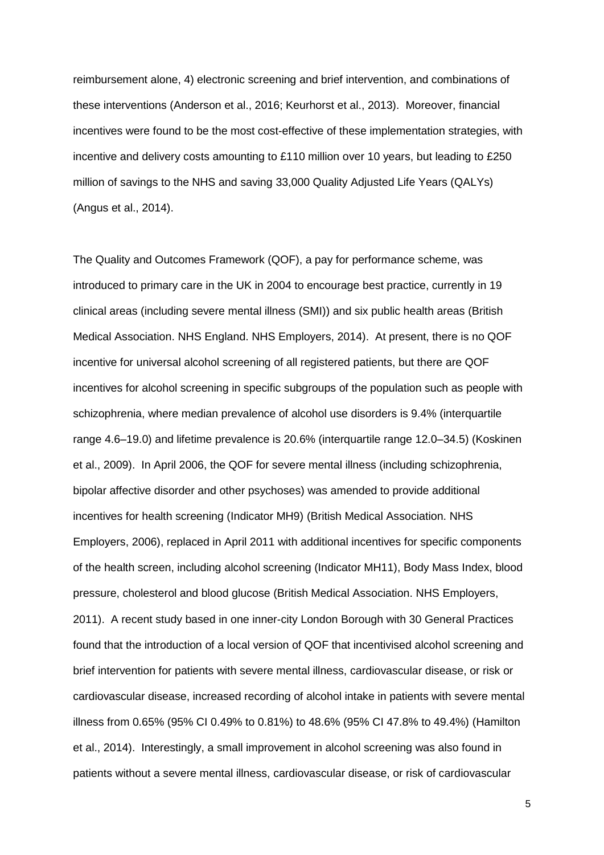reimbursement alone, 4) electronic screening and brief intervention, and combinations of these interventions (Anderson et al., 2016; Keurhorst et al., 2013). Moreover, financial incentives were found to be the most cost-effective of these implementation strategies, with incentive and delivery costs amounting to £110 million over 10 years, but leading to £250 million of savings to the NHS and saving 33,000 Quality Adjusted Life Years (QALYs) (Angus et al., 2014).

The Quality and Outcomes Framework (QOF), a pay for performance scheme, was introduced to primary care in the UK in 2004 to encourage best practice, currently in 19 clinical areas (including severe mental illness (SMI)) and six public health areas (British Medical Association. NHS England. NHS Employers, 2014). At present, there is no QOF incentive for universal alcohol screening of all registered patients, but there are QOF incentives for alcohol screening in specific subgroups of the population such as people with schizophrenia, where median prevalence of alcohol use disorders is 9.4% (interquartile range 4.6–19.0) and lifetime prevalence is 20.6% (interquartile range 12.0–34.5) (Koskinen et al., 2009). In April 2006, the QOF for severe mental illness (including schizophrenia, bipolar affective disorder and other psychoses) was amended to provide additional incentives for health screening (Indicator MH9) (British Medical Association. NHS Employers, 2006), replaced in April 2011 with additional incentives for specific components of the health screen, including alcohol screening (Indicator MH11), Body Mass Index, blood pressure, cholesterol and blood glucose (British Medical Association. NHS Employers, 2011). A recent study based in one inner-city London Borough with 30 General Practices found that the introduction of a local version of QOF that incentivised alcohol screening and brief intervention for patients with severe mental illness, cardiovascular disease, or risk or cardiovascular disease, increased recording of alcohol intake in patients with severe mental illness from 0.65% (95% CI 0.49% to 0.81%) to 48.6% (95% CI 47.8% to 49.4%) (Hamilton et al., 2014). Interestingly, a small improvement in alcohol screening was also found in patients without a severe mental illness, cardiovascular disease, or risk of cardiovascular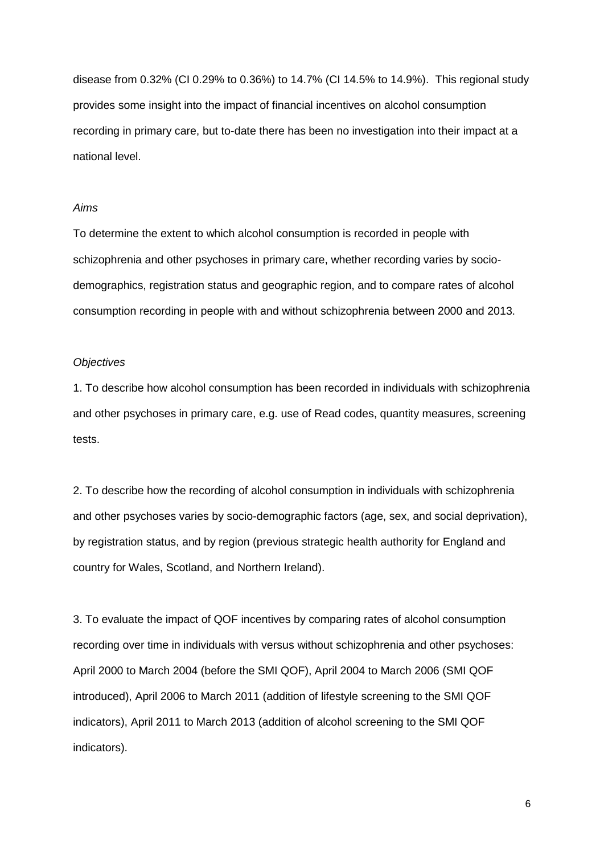disease from 0.32% (CI 0.29% to 0.36%) to 14.7% (CI 14.5% to 14.9%). This regional study provides some insight into the impact of financial incentives on alcohol consumption recording in primary care, but to-date there has been no investigation into their impact at a national level.

# *Aims*

To determine the extent to which alcohol consumption is recorded in people with schizophrenia and other psychoses in primary care, whether recording varies by sociodemographics, registration status and geographic region, and to compare rates of alcohol consumption recording in people with and without schizophrenia between 2000 and 2013.

# *Objectives*

1. To describe how alcohol consumption has been recorded in individuals with schizophrenia and other psychoses in primary care, e.g. use of Read codes, quantity measures, screening tests.

2. To describe how the recording of alcohol consumption in individuals with schizophrenia and other psychoses varies by socio-demographic factors (age, sex, and social deprivation), by registration status, and by region (previous strategic health authority for England and country for Wales, Scotland, and Northern Ireland).

3. To evaluate the impact of QOF incentives by comparing rates of alcohol consumption recording over time in individuals with versus without schizophrenia and other psychoses: April 2000 to March 2004 (before the SMI QOF), April 2004 to March 2006 (SMI QOF introduced), April 2006 to March 2011 (addition of lifestyle screening to the SMI QOF indicators), April 2011 to March 2013 (addition of alcohol screening to the SMI QOF indicators).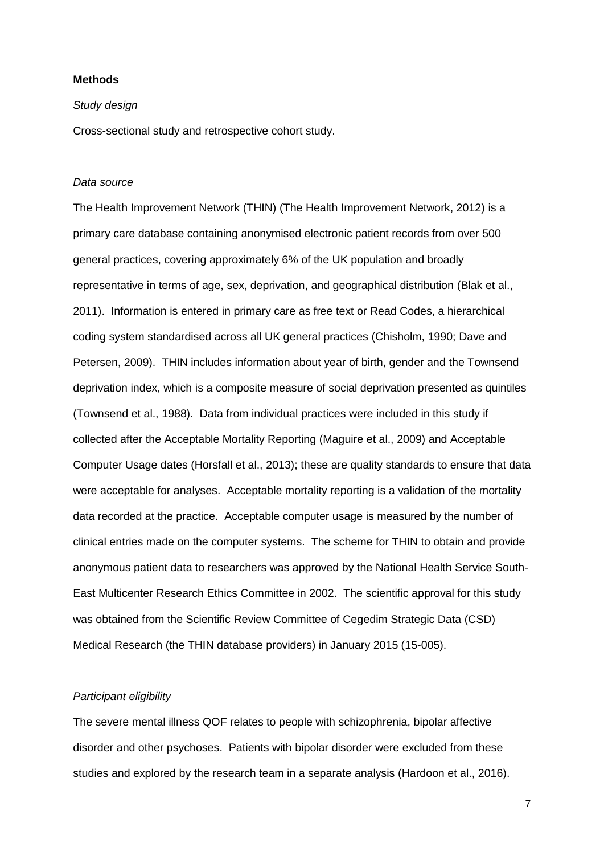# **Methods**

### *Study design*

Cross-sectional study and retrospective cohort study.

## *Data source*

The Health Improvement Network (THIN) (The Health Improvement Network, 2012) is a primary care database containing anonymised electronic patient records from over 500 general practices, covering approximately 6% of the UK population and broadly representative in terms of age, sex, deprivation, and geographical distribution (Blak et al., 2011). Information is entered in primary care as free text or Read Codes, a hierarchical coding system standardised across all UK general practices (Chisholm, 1990; Dave and Petersen, 2009). THIN includes information about year of birth, gender and the Townsend deprivation index, which is a composite measure of social deprivation presented as quintiles (Townsend et al., 1988). Data from individual practices were included in this study if collected after the Acceptable Mortality Reporting (Maguire et al., 2009) and Acceptable Computer Usage dates (Horsfall et al., 2013); these are quality standards to ensure that data were acceptable for analyses. Acceptable mortality reporting is a validation of the mortality data recorded at the practice. Acceptable computer usage is measured by the number of clinical entries made on the computer systems. The scheme for THIN to obtain and provide anonymous patient data to researchers was approved by the National Health Service South-East Multicenter Research Ethics Committee in 2002. The scientific approval for this study was obtained from the Scientific Review Committee of Cegedim Strategic Data (CSD) Medical Research (the THIN database providers) in January 2015 (15-005).

# *Participant eligibility*

The severe mental illness QOF relates to people with schizophrenia, bipolar affective disorder and other psychoses. Patients with bipolar disorder were excluded from these studies and explored by the research team in a separate analysis (Hardoon et al., 2016).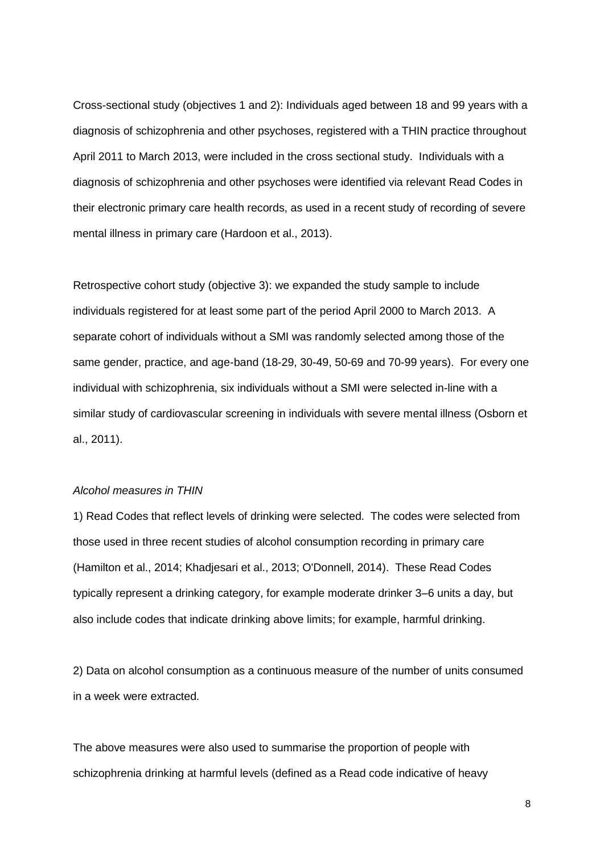Cross-sectional study (objectives 1 and 2): Individuals aged between 18 and 99 years with a diagnosis of schizophrenia and other psychoses, registered with a THIN practice throughout April 2011 to March 2013, were included in the cross sectional study. Individuals with a diagnosis of schizophrenia and other psychoses were identified via relevant Read Codes in their electronic primary care health records, as used in a recent study of recording of severe mental illness in primary care (Hardoon et al., 2013).

Retrospective cohort study (objective 3): we expanded the study sample to include individuals registered for at least some part of the period April 2000 to March 2013. A separate cohort of individuals without a SMI was randomly selected among those of the same gender, practice, and age-band (18-29, 30-49, 50-69 and 70-99 years). For every one individual with schizophrenia, six individuals without a SMI were selected in-line with a similar study of cardiovascular screening in individuals with severe mental illness (Osborn et al., 2011).

## *Alcohol measures in THIN*

1) Read Codes that reflect levels of drinking were selected. The codes were selected from those used in three recent studies of alcohol consumption recording in primary care (Hamilton et al., 2014; Khadjesari et al., 2013; O'Donnell, 2014). These Read Codes typically represent a drinking category, for example moderate drinker 3–6 units a day, but also include codes that indicate drinking above limits; for example, harmful drinking.

2) Data on alcohol consumption as a continuous measure of the number of units consumed in a week were extracted.

The above measures were also used to summarise the proportion of people with schizophrenia drinking at harmful levels (defined as a Read code indicative of heavy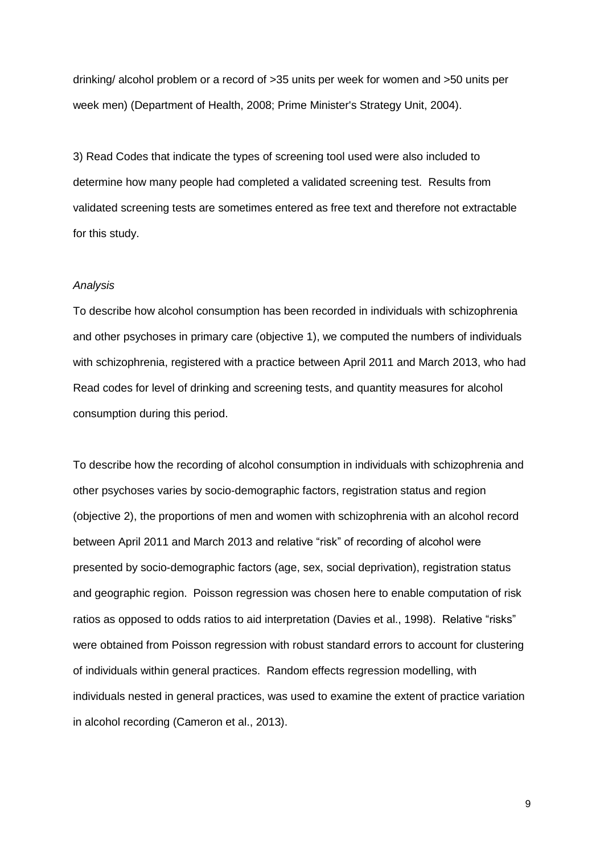drinking/ alcohol problem or a record of >35 units per week for women and >50 units per week men) (Department of Health, 2008; Prime Minister's Strategy Unit, 2004).

3) Read Codes that indicate the types of screening tool used were also included to determine how many people had completed a validated screening test. Results from validated screening tests are sometimes entered as free text and therefore not extractable for this study.

# *Analysis*

To describe how alcohol consumption has been recorded in individuals with schizophrenia and other psychoses in primary care (objective 1), we computed the numbers of individuals with schizophrenia, registered with a practice between April 2011 and March 2013, who had Read codes for level of drinking and screening tests, and quantity measures for alcohol consumption during this period.

To describe how the recording of alcohol consumption in individuals with schizophrenia and other psychoses varies by socio-demographic factors, registration status and region (objective 2), the proportions of men and women with schizophrenia with an alcohol record between April 2011 and March 2013 and relative "risk" of recording of alcohol were presented by socio-demographic factors (age, sex, social deprivation), registration status and geographic region. Poisson regression was chosen here to enable computation of risk ratios as opposed to odds ratios to aid interpretation (Davies et al., 1998). Relative "risks" were obtained from Poisson regression with robust standard errors to account for clustering of individuals within general practices. Random effects regression modelling, with individuals nested in general practices, was used to examine the extent of practice variation in alcohol recording (Cameron et al., 2013).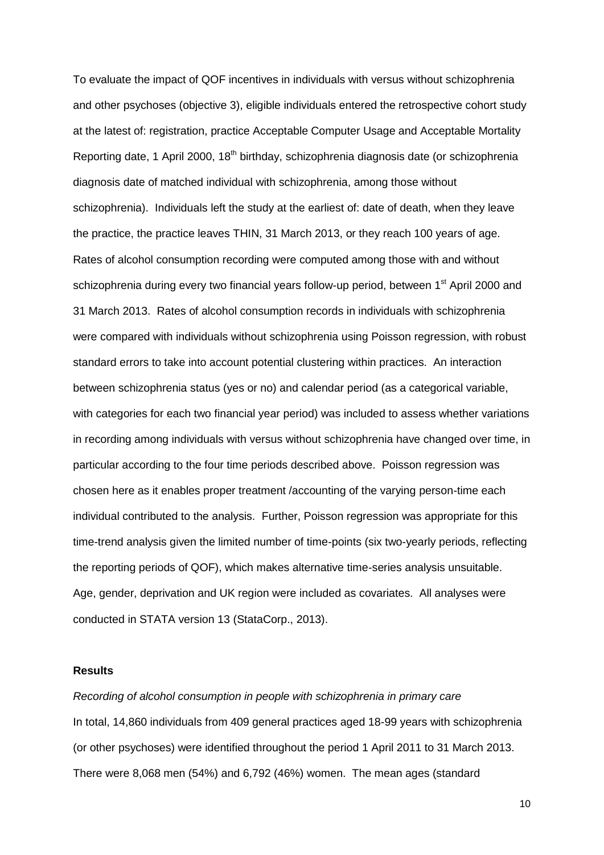To evaluate the impact of QOF incentives in individuals with versus without schizophrenia and other psychoses (objective 3), eligible individuals entered the retrospective cohort study at the latest of: registration, practice Acceptable Computer Usage and Acceptable Mortality Reporting date, 1 April 2000, 18<sup>th</sup> birthday, schizophrenia diagnosis date (or schizophrenia diagnosis date of matched individual with schizophrenia, among those without schizophrenia). Individuals left the study at the earliest of: date of death, when they leave the practice, the practice leaves THIN, 31 March 2013, or they reach 100 years of age. Rates of alcohol consumption recording were computed among those with and without schizophrenia during every two financial years follow-up period, between 1<sup>st</sup> April 2000 and 31 March 2013. Rates of alcohol consumption records in individuals with schizophrenia were compared with individuals without schizophrenia using Poisson regression, with robust standard errors to take into account potential clustering within practices. An interaction between schizophrenia status (yes or no) and calendar period (as a categorical variable, with categories for each two financial year period) was included to assess whether variations in recording among individuals with versus without schizophrenia have changed over time, in particular according to the four time periods described above. Poisson regression was chosen here as it enables proper treatment /accounting of the varying person-time each individual contributed to the analysis. Further, Poisson regression was appropriate for this time-trend analysis given the limited number of time-points (six two-yearly periods, reflecting the reporting periods of QOF), which makes alternative time-series analysis unsuitable. Age, gender, deprivation and UK region were included as covariates. All analyses were conducted in STATA version 13 (StataCorp., 2013).

# **Results**

*Recording of alcohol consumption in people with schizophrenia in primary care* In total, 14,860 individuals from 409 general practices aged 18-99 years with schizophrenia (or other psychoses) were identified throughout the period 1 April 2011 to 31 March 2013. There were 8,068 men (54%) and 6,792 (46%) women. The mean ages (standard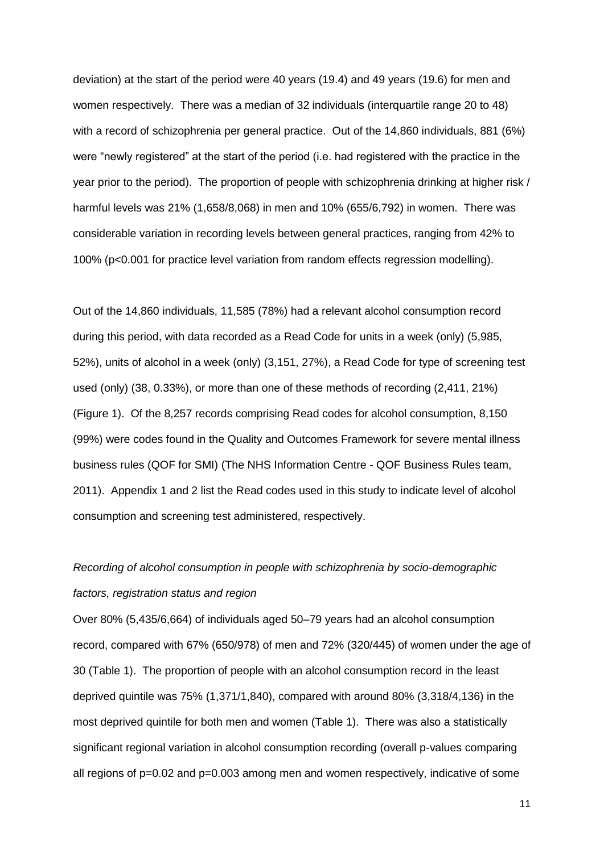deviation) at the start of the period were 40 years (19.4) and 49 years (19.6) for men and women respectively. There was a median of 32 individuals (interquartile range 20 to 48) with a record of schizophrenia per general practice. Out of the 14,860 individuals, 881 (6%) were "newly registered" at the start of the period (i.e. had registered with the practice in the year prior to the period). The proportion of people with schizophrenia drinking at higher risk / harmful levels was 21% (1,658/8,068) in men and 10% (655/6,792) in women. There was considerable variation in recording levels between general practices, ranging from 42% to 100% (p<0.001 for practice level variation from random effects regression modelling).

Out of the 14,860 individuals, 11,585 (78%) had a relevant alcohol consumption record during this period, with data recorded as a Read Code for units in a week (only) (5,985, 52%), units of alcohol in a week (only) (3,151, 27%), a Read Code for type of screening test used (only) (38, 0.33%), or more than one of these methods of recording (2,411, 21%) (Figure 1). Of the 8,257 records comprising Read codes for alcohol consumption, 8,150 (99%) were codes found in the Quality and Outcomes Framework for severe mental illness business rules (QOF for SMI) (The NHS Information Centre - QOF Business Rules team, 2011). Appendix 1 and 2 list the Read codes used in this study to indicate level of alcohol consumption and screening test administered, respectively.

# *Recording of alcohol consumption in people with schizophrenia by socio-demographic factors, registration status and region*

Over 80% (5,435/6,664) of individuals aged 50–79 years had an alcohol consumption record, compared with 67% (650/978) of men and 72% (320/445) of women under the age of 30 (Table 1). The proportion of people with an alcohol consumption record in the least deprived quintile was 75% (1,371/1,840), compared with around 80% (3,318/4,136) in the most deprived quintile for both men and women (Table 1). There was also a statistically significant regional variation in alcohol consumption recording (overall p-values comparing all regions of p=0.02 and p=0.003 among men and women respectively, indicative of some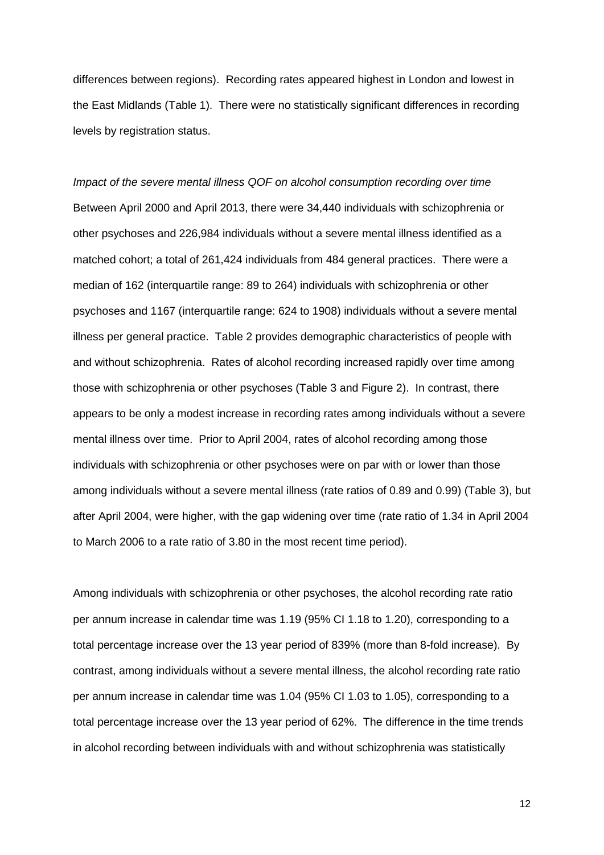differences between regions). Recording rates appeared highest in London and lowest in the East Midlands (Table 1). There were no statistically significant differences in recording levels by registration status.

*Impact of the severe mental illness QOF on alcohol consumption recording over time* Between April 2000 and April 2013, there were 34,440 individuals with schizophrenia or other psychoses and 226,984 individuals without a severe mental illness identified as a matched cohort; a total of 261,424 individuals from 484 general practices. There were a median of 162 (interquartile range: 89 to 264) individuals with schizophrenia or other psychoses and 1167 (interquartile range: 624 to 1908) individuals without a severe mental illness per general practice. Table 2 provides demographic characteristics of people with and without schizophrenia. Rates of alcohol recording increased rapidly over time among those with schizophrenia or other psychoses (Table 3 and Figure 2). In contrast, there appears to be only a modest increase in recording rates among individuals without a severe mental illness over time. Prior to April 2004, rates of alcohol recording among those individuals with schizophrenia or other psychoses were on par with or lower than those among individuals without a severe mental illness (rate ratios of 0.89 and 0.99) (Table 3), but after April 2004, were higher, with the gap widening over time (rate ratio of 1.34 in April 2004 to March 2006 to a rate ratio of 3.80 in the most recent time period).

Among individuals with schizophrenia or other psychoses, the alcohol recording rate ratio per annum increase in calendar time was 1.19 (95% CI 1.18 to 1.20), corresponding to a total percentage increase over the 13 year period of 839% (more than 8-fold increase). By contrast, among individuals without a severe mental illness, the alcohol recording rate ratio per annum increase in calendar time was 1.04 (95% CI 1.03 to 1.05), corresponding to a total percentage increase over the 13 year period of 62%. The difference in the time trends in alcohol recording between individuals with and without schizophrenia was statistically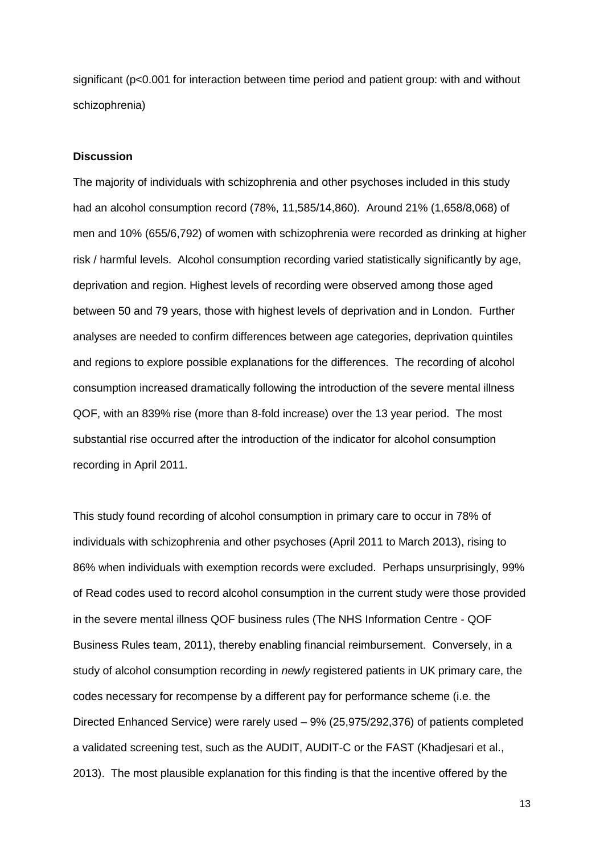significant (p<0.001 for interaction between time period and patient group: with and without schizophrenia)

#### **Discussion**

The majority of individuals with schizophrenia and other psychoses included in this study had an alcohol consumption record (78%, 11,585/14,860). Around 21% (1,658/8,068) of men and 10% (655/6,792) of women with schizophrenia were recorded as drinking at higher risk / harmful levels. Alcohol consumption recording varied statistically significantly by age, deprivation and region. Highest levels of recording were observed among those aged between 50 and 79 years, those with highest levels of deprivation and in London. Further analyses are needed to confirm differences between age categories, deprivation quintiles and regions to explore possible explanations for the differences. The recording of alcohol consumption increased dramatically following the introduction of the severe mental illness QOF, with an 839% rise (more than 8-fold increase) over the 13 year period. The most substantial rise occurred after the introduction of the indicator for alcohol consumption recording in April 2011.

This study found recording of alcohol consumption in primary care to occur in 78% of individuals with schizophrenia and other psychoses (April 2011 to March 2013), rising to 86% when individuals with exemption records were excluded. Perhaps unsurprisingly, 99% of Read codes used to record alcohol consumption in the current study were those provided in the severe mental illness QOF business rules (The NHS Information Centre - QOF Business Rules team, 2011), thereby enabling financial reimbursement. Conversely, in a study of alcohol consumption recording in *newly* registered patients in UK primary care, the codes necessary for recompense by a different pay for performance scheme (i.e. the Directed Enhanced Service) were rarely used – 9% (25,975/292,376) of patients completed a validated screening test, such as the AUDIT, AUDIT-C or the FAST (Khadjesari et al., 2013). The most plausible explanation for this finding is that the incentive offered by the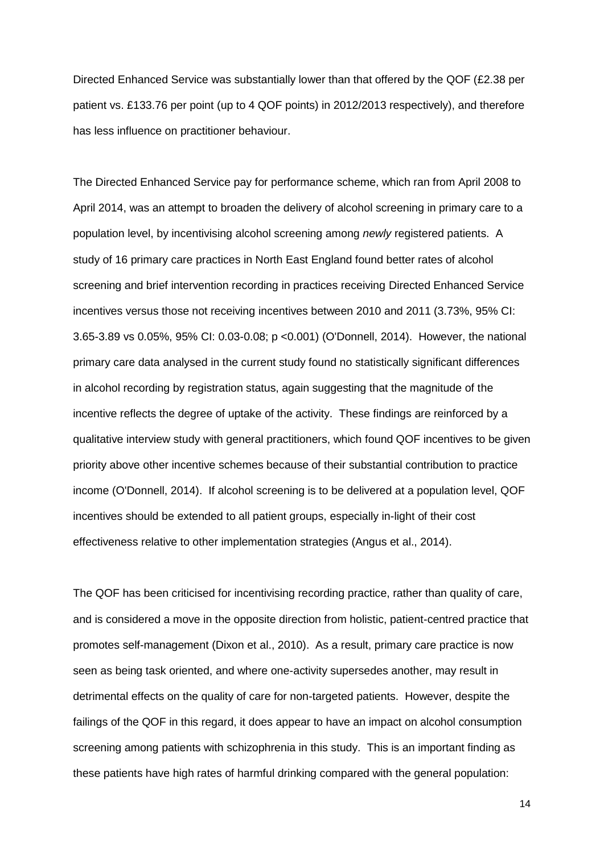Directed Enhanced Service was substantially lower than that offered by the QOF (£2.38 per patient vs. £133.76 per point (up to 4 QOF points) in 2012/2013 respectively), and therefore has less influence on practitioner behaviour.

The Directed Enhanced Service pay for performance scheme, which ran from April 2008 to April 2014, was an attempt to broaden the delivery of alcohol screening in primary care to a population level, by incentivising alcohol screening among *newly* registered patients. A study of 16 primary care practices in North East England found better rates of alcohol screening and brief intervention recording in practices receiving Directed Enhanced Service incentives versus those not receiving incentives between 2010 and 2011 (3.73%, 95% CI: 3.65-3.89 vs 0.05%, 95% CI: 0.03-0.08; p <0.001) (O'Donnell, 2014). However, the national primary care data analysed in the current study found no statistically significant differences in alcohol recording by registration status, again suggesting that the magnitude of the incentive reflects the degree of uptake of the activity. These findings are reinforced by a qualitative interview study with general practitioners, which found QOF incentives to be given priority above other incentive schemes because of their substantial contribution to practice income (O'Donnell, 2014). If alcohol screening is to be delivered at a population level, QOF incentives should be extended to all patient groups, especially in-light of their cost effectiveness relative to other implementation strategies (Angus et al., 2014).

The QOF has been criticised for incentivising recording practice, rather than quality of care, and is considered a move in the opposite direction from holistic, patient-centred practice that promotes self-management (Dixon et al., 2010). As a result, primary care practice is now seen as being task oriented, and where one-activity supersedes another, may result in detrimental effects on the quality of care for non-targeted patients. However, despite the failings of the QOF in this regard, it does appear to have an impact on alcohol consumption screening among patients with schizophrenia in this study. This is an important finding as these patients have high rates of harmful drinking compared with the general population: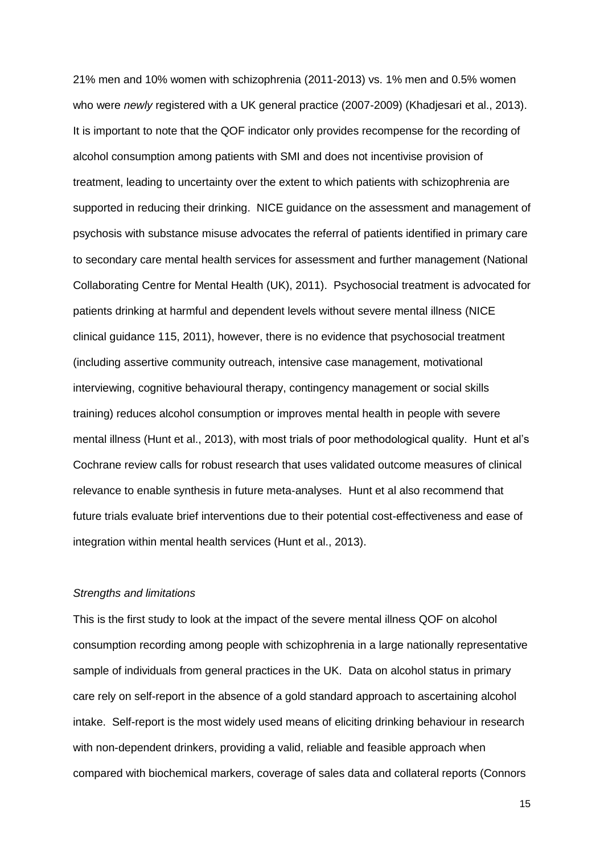21% men and 10% women with schizophrenia (2011-2013) vs. 1% men and 0.5% women who were *newly* registered with a UK general practice (2007-2009) (Khadjesari et al., 2013). It is important to note that the QOF indicator only provides recompense for the recording of alcohol consumption among patients with SMI and does not incentivise provision of treatment, leading to uncertainty over the extent to which patients with schizophrenia are supported in reducing their drinking. NICE guidance on the assessment and management of psychosis with substance misuse advocates the referral of patients identified in primary care to secondary care mental health services for assessment and further management (National Collaborating Centre for Mental Health (UK), 2011). Psychosocial treatment is advocated for patients drinking at harmful and dependent levels without severe mental illness (NICE clinical guidance 115, 2011), however, there is no evidence that psychosocial treatment (including assertive community outreach, intensive case management, motivational interviewing, cognitive behavioural therapy, contingency management or social skills training) reduces alcohol consumption or improves mental health in people with severe mental illness (Hunt et al., 2013), with most trials of poor methodological quality. Hunt et al's Cochrane review calls for robust research that uses validated outcome measures of clinical relevance to enable synthesis in future meta-analyses. Hunt et al also recommend that future trials evaluate brief interventions due to their potential cost-effectiveness and ease of integration within mental health services (Hunt et al., 2013).

# *Strengths and limitations*

This is the first study to look at the impact of the severe mental illness QOF on alcohol consumption recording among people with schizophrenia in a large nationally representative sample of individuals from general practices in the UK. Data on alcohol status in primary care rely on self-report in the absence of a gold standard approach to ascertaining alcohol intake. Self-report is the most widely used means of eliciting drinking behaviour in research with non-dependent drinkers, providing a valid, reliable and feasible approach when compared with biochemical markers, coverage of sales data and collateral reports (Connors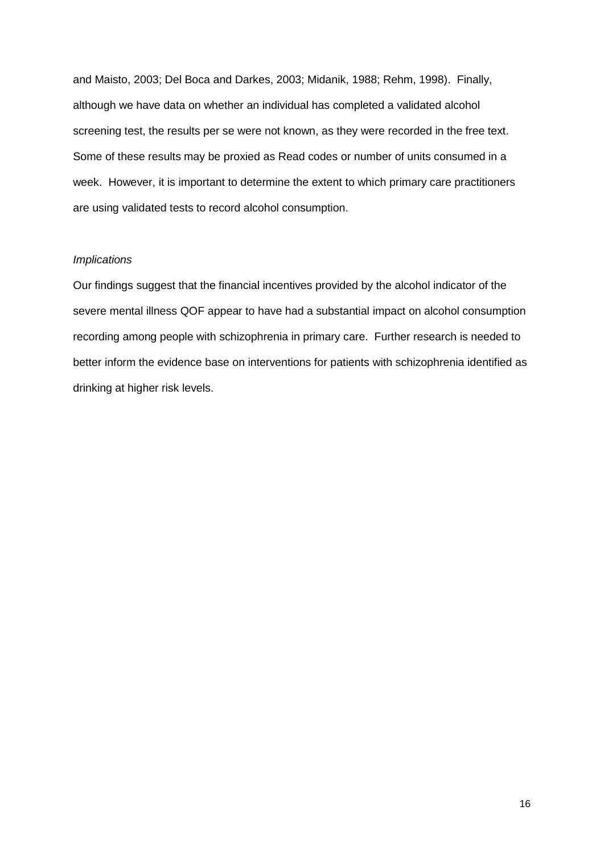and Maisto, 2003; Del Boca and Darkes, 2003; Midanik, 1988; Rehm, 1998). Finally, although we have data on whether an individual has completed a validated alcohol screening test, the results per se were not known, as they were recorded in the free text. Some of these results may be proxied as Read codes or number of units consumed in a week. However, it is important to determine the extent to which primary care practitioners are using validated tests to record alcohol consumption.

# *Implications*

Our findings suggest that the financial incentives provided by the alcohol indicator of the severe mental illness QOF appear to have had a substantial impact on alcohol consumption recording among people with schizophrenia in primary care. Further research is needed to better inform the evidence base on interventions for patients with schizophrenia identified as drinking at higher risk levels.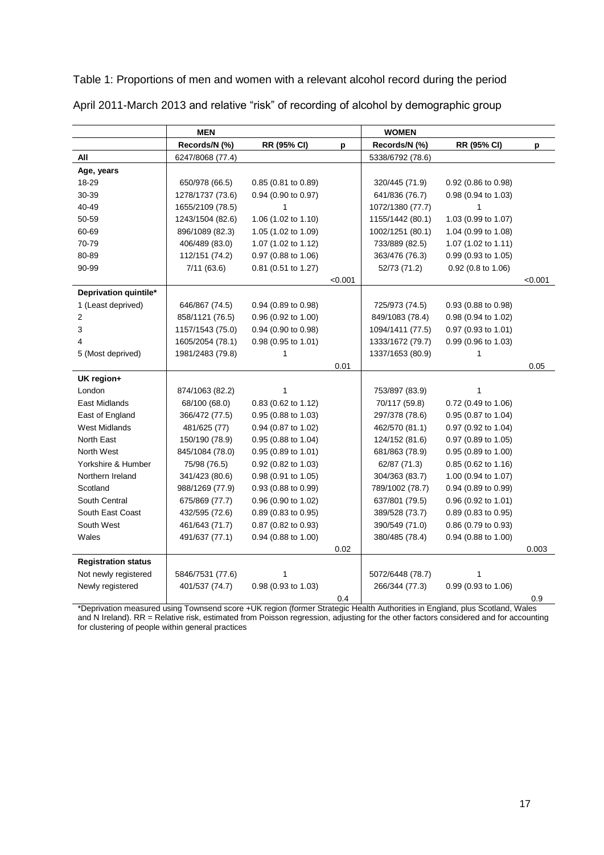Table 1: Proportions of men and women with a relevant alcohol record during the period

|                            | <b>MEN</b>       |                       |         | <b>WOMEN</b>     |                       |         |
|----------------------------|------------------|-----------------------|---------|------------------|-----------------------|---------|
|                            | Records/N (%)    | RR (95% CI)           | D       | Records/N (%)    | RR (95% CI)           | p       |
| All                        | 6247/8068 (77.4) |                       |         | 5338/6792 (78.6) |                       |         |
| Age, years                 |                  |                       |         |                  |                       |         |
| 18-29                      | 650/978 (66.5)   | $0.85$ (0.81 to 0.89) |         | 320/445 (71.9)   | 0.92 (0.86 to 0.98)   |         |
| 30-39                      | 1278/1737 (73.6) | 0.94 (0.90 to 0.97)   |         | 641/836 (76.7)   | $0.98$ (0.94 to 1.03) |         |
| 40-49                      | 1655/2109 (78.5) | 1                     |         | 1072/1380 (77.7) | 1                     |         |
| 50-59                      | 1243/1504 (82.6) | 1.06 (1.02 to 1.10)   |         | 1155/1442 (80.1) | 1.03 (0.99 to 1.07)   |         |
| 60-69                      | 896/1089 (82.3)  | 1.05 (1.02 to 1.09)   |         | 1002/1251 (80.1) | 1.04 (0.99 to 1.08)   |         |
| 70-79                      | 406/489 (83.0)   | 1.07 (1.02 to 1.12)   |         | 733/889 (82.5)   | 1.07 (1.02 to 1.11)   |         |
| 80-89                      | 112/151 (74.2)   | $0.97$ (0.88 to 1.06) |         | 363/476 (76.3)   | $0.99$ (0.93 to 1.05) |         |
| 90-99                      | 7/11(63.6)       | $0.81$ (0.51 to 1.27) |         | 52/73 (71.2)     | $0.92$ (0.8 to 1.06)  |         |
|                            |                  |                       | < 0.001 |                  |                       | < 0.001 |
| Deprivation quintile*      |                  |                       |         |                  |                       |         |
| 1 (Least deprived)         | 646/867 (74.5)   | $0.94$ (0.89 to 0.98) |         | 725/973 (74.5)   | $0.93$ (0.88 to 0.98) |         |
| 2                          | 858/1121 (76.5)  | 0.96 (0.92 to 1.00)   |         | 849/1083 (78.4)  | 0.98 (0.94 to 1.02)   |         |
| 3                          | 1157/1543 (75.0) | 0.94 (0.90 to 0.98)   |         | 1094/1411 (77.5) | 0.97 (0.93 to 1.01)   |         |
| 4                          | 1605/2054 (78.1) | 0.98 (0.95 to 1.01)   |         | 1333/1672 (79.7) | 0.99 (0.96 to 1.03)   |         |
| 5 (Most deprived)          | 1981/2483 (79.8) | 1                     |         | 1337/1653 (80.9) | 1                     |         |
|                            |                  |                       | 0.01    |                  |                       | 0.05    |
| UK region+                 |                  |                       |         |                  |                       |         |
| London                     | 874/1063 (82.2)  | 1                     |         | 753/897 (83.9)   | 1                     |         |
| East Midlands              | 68/100 (68.0)    | 0.83 (0.62 to 1.12)   |         | 70/117 (59.8)    | 0.72 (0.49 to 1.06)   |         |
| East of England            | 366/472 (77.5)   | 0.95 (0.88 to 1.03)   |         | 297/378 (78.6)   | $0.95$ (0.87 to 1.04) |         |
| <b>West Midlands</b>       | 481/625 (77)     | 0.94 (0.87 to 1.02)   |         | 462/570 (81.1)   | 0.97 (0.92 to 1.04)   |         |
| North East                 | 150/190 (78.9)   | 0.95 (0.88 to 1.04)   |         | 124/152 (81.6)   | 0.97 (0.89 to 1.05)   |         |
| North West                 | 845/1084 (78.0)  | 0.95 (0.89 to 1.01)   |         | 681/863 (78.9)   | $0.95$ (0.89 to 1.00) |         |
| Yorkshire & Humber         | 75/98 (76.5)     | 0.92 (0.82 to 1.03)   |         | 62/87 (71.3)     | 0.85 (0.62 to 1.16)   |         |
| Northern Ireland           | 341/423 (80.6)   | 0.98 (0.91 to 1.05)   |         | 304/363 (83.7)   | 1.00 (0.94 to 1.07)   |         |
| Scotland                   | 988/1269 (77.9)  | 0.93 (0.88 to 0.99)   |         | 789/1002 (78.7)  | $0.94$ (0.89 to 0.99) |         |
| South Central              | 675/869 (77.7)   | 0.96 (0.90 to 1.02)   |         | 637/801 (79.5)   | $0.96$ (0.92 to 1.01) |         |
| South East Coast           | 432/595 (72.6)   | 0.89 (0.83 to 0.95)   |         | 389/528 (73.7)   | 0.89 (0.83 to 0.95)   |         |
| South West                 | 461/643 (71.7)   | 0.87 (0.82 to 0.93)   |         | 390/549 (71.0)   | $0.86$ (0.79 to 0.93) |         |
| Wales                      | 491/637 (77.1)   | 0.94 (0.88 to 1.00)   |         | 380/485 (78.4)   | $0.94$ (0.88 to 1.00) |         |
|                            |                  |                       | 0.02    |                  |                       | 0.003   |
| <b>Registration status</b> |                  |                       |         |                  |                       |         |
| Not newly registered       | 5846/7531 (77.6) | 1                     |         | 5072/6448 (78.7) | 1                     |         |
| Newly registered           | 401/537 (74.7)   | 0.98 (0.93 to 1.03)   |         | 266/344 (77.3)   | $0.99$ (0.93 to 1.06) |         |
|                            |                  |                       | 0.4     |                  |                       | 0.9     |

April 2011-March 2013 and relative "risk" of recording of alcohol by demographic group

\*Deprivation measured using Townsend score +UK region (former Strategic Health Authorities in England, plus Scotland, Wales and N Ireland). RR = Relative risk, estimated from Poisson regression, adjusting for the other factors considered and for accounting for clustering of people within general practices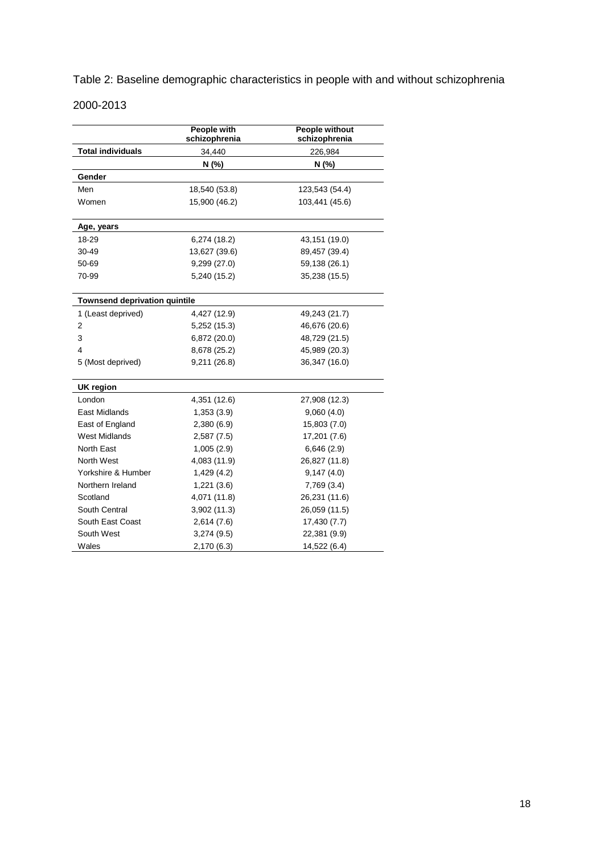Table 2: Baseline demographic characteristics in people with and without schizophrenia

# 2000-2013

|                                      | People with<br>schizophrenia | People without<br>schizophrenia |
|--------------------------------------|------------------------------|---------------------------------|
| <b>Total individuals</b>             | 34,440                       | 226,984                         |
|                                      | N(%                          | N (%)                           |
| Gender                               |                              |                                 |
| Men                                  | 18,540 (53.8)                | 123,543 (54.4)                  |
| Women                                | 15,900 (46.2)                | 103,441 (45.6)                  |
| Age, years                           |                              |                                 |
| 18-29                                | 6,274(18.2)                  | 43,151 (19.0)                   |
| 30-49                                | 13,627 (39.6)                | 89,457 (39.4)                   |
| 50-69                                | 9,299 (27.0)                 | 59,138 (26.1)                   |
| 70-99                                | 5,240 (15.2)                 | 35,238 (15.5)                   |
| <b>Townsend deprivation quintile</b> |                              |                                 |
| 1 (Least deprived)                   | 4,427 (12.9)                 | 49,243 (21.7)                   |
| 2                                    | 5,252 (15.3)                 | 46,676 (20.6)                   |
| 3                                    | 6,872 (20.0)                 | 48,729 (21.5)                   |
| 4                                    | 8,678 (25.2)                 | 45,989 (20.3)                   |
| 5 (Most deprived)                    | 9,211 (26.8)                 | 36,347 (16.0)                   |
| UK region                            |                              |                                 |
| London                               | 4,351 (12.6)                 | 27,908 (12.3)                   |
| <b>East Midlands</b>                 | 1,353(3.9)                   | 9,060(4.0)                      |
| East of England                      | 2,380 (6.9)                  | 15,803 (7.0)                    |
| <b>West Midlands</b>                 | 2,587(7.5)                   | 17,201 (7.6)                    |
| North East                           | 1,005(2.9)                   | 6,646(2.9)                      |
| North West                           | 4,083 (11.9)                 | 26,827 (11.8)                   |
| Yorkshire & Humber                   | 1,429(4.2)                   | 9,147(4.0)                      |
| Northern Ireland                     | 1,221(3.6)                   | 7,769 (3.4)                     |
| Scotland                             | 4,071 (11.8)                 | 26,231 (11.6)                   |
| South Central                        | 3,902 (11.3)                 | 26,059 (11.5)                   |
| South East Coast                     | 2,614(7.6)                   | 17,430 (7.7)                    |
| South West                           | 3,274 (9.5)                  | 22,381 (9.9)                    |
| Wales                                | 2,170 (6.3)                  | 14,522 (6.4)                    |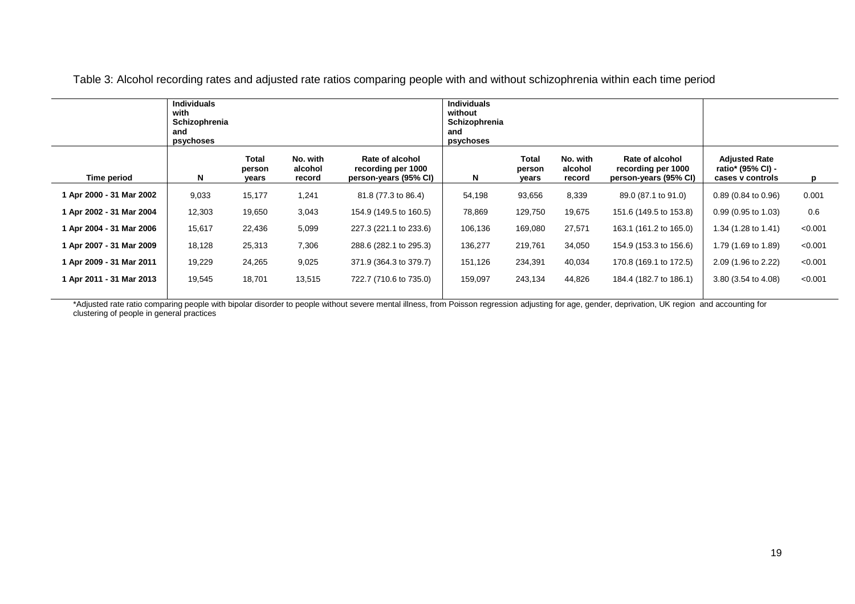|                          | <b>Individuals</b><br>with<br>Schizophrenia<br>and<br>psychoses |                          |                               |                                                                | <b>Individuals</b><br>without<br>Schizophrenia<br>and<br>psychoses |                                 |                               |                                                                |                                                               |         |
|--------------------------|-----------------------------------------------------------------|--------------------------|-------------------------------|----------------------------------------------------------------|--------------------------------------------------------------------|---------------------------------|-------------------------------|----------------------------------------------------------------|---------------------------------------------------------------|---------|
| Time period              | N                                                               | Total<br>person<br>years | No. with<br>alcohol<br>record | Rate of alcohol<br>recording per 1000<br>person-years (95% CI) | N                                                                  | <b>Total</b><br>person<br>years | No. with<br>alcohol<br>record | Rate of alcohol<br>recording per 1000<br>person-years (95% CI) | <b>Adjusted Rate</b><br>ratio* (95% CI) -<br>cases v controls | p       |
| 1 Apr 2000 - 31 Mar 2002 | 9,033                                                           | 15,177                   | 1,241                         | 81.8 (77.3 to 86.4)                                            | 54,198                                                             | 93,656                          | 8,339                         | 89.0 (87.1 to 91.0)                                            | $0.89(0.84 \text{ to } 0.96)$                                 | 0.001   |
| 1 Apr 2002 - 31 Mar 2004 | 12,303                                                          | 19,650                   | 3,043                         | 154.9 (149.5 to 160.5)                                         | 78,869                                                             | 129,750                         | 19,675                        | 151.6 (149.5 to 153.8)                                         | $0.99(0.95 \text{ to } 1.03)$                                 | 0.6     |
| 1 Apr 2004 - 31 Mar 2006 | 15,617                                                          | 22,436                   | 5,099                         | 227.3 (221.1 to 233.6)                                         | 106,136                                                            | 169,080                         | 27,571                        | 163.1 (161.2 to 165.0)                                         | 1.34 (1.28 to 1.41)                                           | < 0.001 |
| 1 Apr 2007 - 31 Mar 2009 | 18,128                                                          | 25,313                   | 7,306                         | 288.6 (282.1 to 295.3)                                         | 136,277                                                            | 219,761                         | 34,050                        | 154.9 (153.3 to 156.6)                                         | 1.79 (1.69 to 1.89)                                           | < 0.001 |
| 1 Apr 2009 - 31 Mar 2011 | 19,229                                                          | 24,265                   | 9,025                         | 371.9 (364.3 to 379.7)                                         | 151,126                                                            | 234,391                         | 40,034                        | 170.8 (169.1 to 172.5)                                         | 2.09 (1.96 to 2.22)                                           | < 0.001 |
| 1 Apr 2011 - 31 Mar 2013 | 19,545                                                          | 18,701                   | 13,515                        | 722.7 (710.6 to 735.0)                                         | 159,097                                                            | 243,134                         | 44,826                        | 184.4 (182.7 to 186.1)                                         | 3.80 (3.54 to 4.08)                                           | < 0.001 |
|                          |                                                                 |                          |                               |                                                                |                                                                    |                                 |                               |                                                                |                                                               |         |

Table 3: Alcohol recording rates and adjusted rate ratios comparing people with and without schizophrenia within each time period

\*Adjusted rate ratio comparing people with bipolar disorder to people without severe mental illness, from Poisson regression adjusting for age, gender, deprivation, UK region and accounting for clustering of people in general practices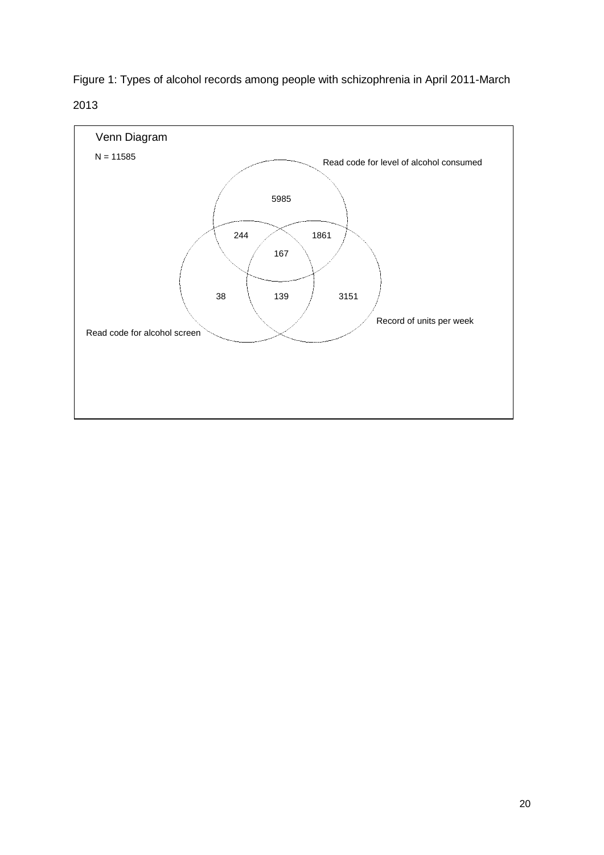

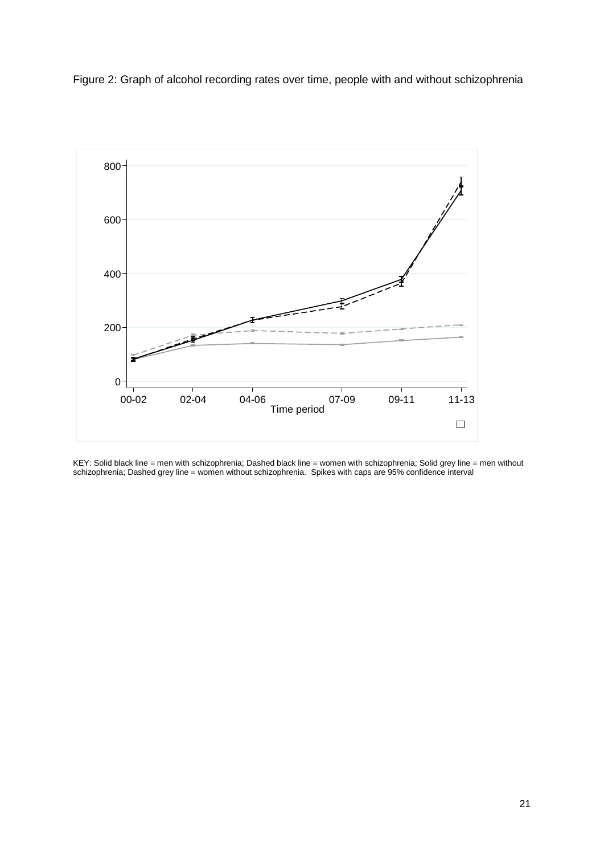Figure 2: Graph of alcohol recording rates over time, people with and without schizophrenia



KEY: Solid black line = men with schizophrenia; Dashed black line = women with schizophrenia; Solid grey line = men without schizophrenia; Dashed grey line = women without schizophrenia. Spikes with caps are 95% confidence interval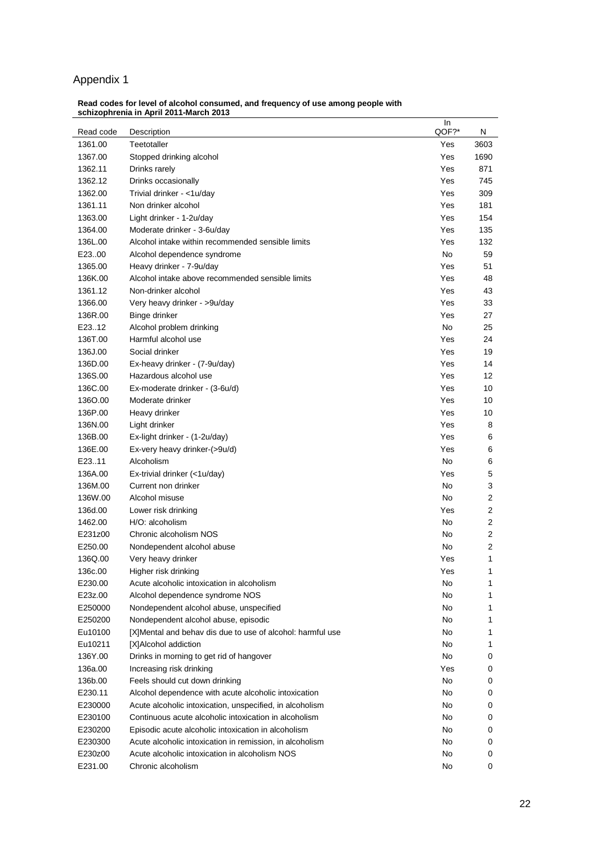# Appendix 1

|           |                                                            | In    |      |
|-----------|------------------------------------------------------------|-------|------|
| Read code | Description                                                | QOF?* | N    |
| 1361.00   | Teetotaller                                                | Yes   | 3603 |
| 1367.00   | Stopped drinking alcohol                                   | Yes   | 1690 |
| 1362.11   | Drinks rarely                                              | Yes   | 871  |
| 1362.12   | Drinks occasionally                                        | Yes   | 745  |
| 1362.00   | Trivial drinker - <1u/day                                  | Yes   | 309  |
| 1361.11   | Non drinker alcohol                                        | Yes   | 181  |
| 1363.00   | Light drinker - 1-2u/day                                   | Yes   | 154  |
| 1364.00   | Moderate drinker - 3-6u/day                                | Yes   | 135  |
| 136L.00   | Alcohol intake within recommended sensible limits          | Yes   | 132  |
| E2300     | Alcohol dependence syndrome                                | No.   | 59   |
| 1365.00   | Heavy drinker - 7-9u/day                                   | Yes   | 51   |
| 136K.00   | Alcohol intake above recommended sensible limits           | Yes   | 48   |
| 1361.12   | Non-drinker alcohol                                        | Yes   | 43   |
| 1366.00   | Very heavy drinker - >9u/day                               | Yes   | 33   |
| 136R.00   | Binge drinker                                              | Yes   | 27   |
| E23.12    | Alcohol problem drinking                                   | No.   | 25   |
| 136T.00   | Harmful alcohol use                                        | Yes   | 24   |
| 136J.00   | Social drinker                                             | Yes   | 19   |
| 136D.00   | Ex-heavy drinker - (7-9u/day)                              | Yes   | 14   |
| 136S.00   | Hazardous alcohol use                                      | Yes   | 12   |
| 136C.00   | Ex-moderate drinker - (3-6u/d)                             | Yes   | 10   |
| 1360.00   | Moderate drinker                                           | Yes   | 10   |
| 136P.00   | Heavy drinker                                              | Yes   | 10   |
| 136N.00   | Light drinker                                              | Yes   | 8    |
| 136B.00   | Ex-light drinker - (1-2u/day)                              | Yes   | 6    |
| 136E.00   | Ex-very heavy drinker-(>9u/d)                              | Yes   | 6    |
| E23.11    | Alcoholism                                                 | No.   | 6    |
| 136A.00   | Ex-trivial drinker (<1u/day)                               | Yes   | 5    |
| 136M.00   | Current non drinker                                        | No.   | 3    |
| 136W.00   | Alcohol misuse                                             | No.   | 2    |
| 136d.00   | Lower risk drinking                                        | Yes   | 2    |
| 1462.00   | H/O: alcoholism                                            | No    | 2    |
| E231z00   | Chronic alcoholism NOS                                     | No    | 2    |
| E250.00   | Nondependent alcohol abuse                                 | No    | 2    |
| 136Q.00   | Very heavy drinker                                         | Yes   | 1    |
| 136c.00   | Higher risk drinking                                       | Yes   | 1    |
| E230.00   | Acute alcoholic intoxication in alcoholism                 | No    | 1    |
| E23z.00   | Alcohol dependence syndrome NOS                            | No    | 1    |
| E250000   | Nondependent alcohol abuse, unspecified                    | No    | 1    |
| E250200   | Nondependent alcohol abuse, episodic                       | No    | 1    |
| Eu10100   | [X]Mental and behav dis due to use of alcohol: harmful use | No    | 1    |
| Eu10211   | [X]Alcohol addiction                                       | No    | 1    |
| 136Y.00   | Drinks in morning to get rid of hangover                   | No    | 0    |
| 136a.00   | Increasing risk drinking                                   | Yes   | 0    |
| 136b.00   | Feels should cut down drinking                             | No    | 0    |
| E230.11   | Alcohol dependence with acute alcoholic intoxication       | No    | 0    |
| E230000   | Acute alcoholic intoxication, unspecified, in alcoholism   | No    | 0    |
| E230100   | Continuous acute alcoholic intoxication in alcoholism      | No    | 0    |
| E230200   | Episodic acute alcoholic intoxication in alcoholism        | No    | 0    |
| E230300   | Acute alcoholic intoxication in remission, in alcoholism   | No    | 0    |
| E230z00   | Acute alcoholic intoxication in alcoholism NOS             | No    | 0    |
| E231.00   | Chronic alcoholism                                         | No    | 0    |
|           |                                                            |       |      |

#### **Read codes for level of alcohol consumed, and frequency of use among people with schizophrenia in April 2011-March 2013**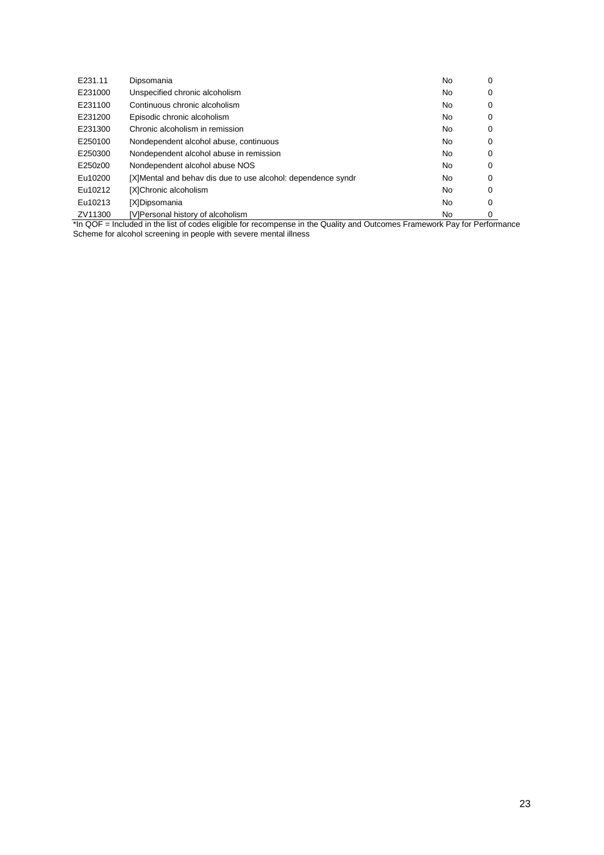| E231.11 | Dipsomania                                                                                                                                                                                                                                                                                                                                                                                                               | No  | 0 |
|---------|--------------------------------------------------------------------------------------------------------------------------------------------------------------------------------------------------------------------------------------------------------------------------------------------------------------------------------------------------------------------------------------------------------------------------|-----|---|
| E231000 | Unspecified chronic alcoholism                                                                                                                                                                                                                                                                                                                                                                                           | No  | 0 |
| E231100 | Continuous chronic alcoholism                                                                                                                                                                                                                                                                                                                                                                                            | No  | 0 |
| E231200 | Episodic chronic alcoholism                                                                                                                                                                                                                                                                                                                                                                                              | No  | 0 |
| E231300 | Chronic alcoholism in remission                                                                                                                                                                                                                                                                                                                                                                                          | No  | 0 |
| E250100 | Nondependent alcohol abuse, continuous                                                                                                                                                                                                                                                                                                                                                                                   | No  | 0 |
| E250300 | Nondependent alcohol abuse in remission                                                                                                                                                                                                                                                                                                                                                                                  | No  | 0 |
| E250z00 | Nondependent alcohol abuse NOS                                                                                                                                                                                                                                                                                                                                                                                           | No  | 0 |
| Eu10200 | [X]Mental and behav dis due to use alcohol: dependence syndr                                                                                                                                                                                                                                                                                                                                                             | No  | 0 |
| Eu10212 | [X]Chronic alcoholism                                                                                                                                                                                                                                                                                                                                                                                                    | No  | 0 |
| Eu10213 | [X]Dipsomania                                                                                                                                                                                                                                                                                                                                                                                                            | No  | 0 |
| ZV11300 | [V]Personal history of alcoholism<br>$\epsilon$ on $\epsilon$ and $\epsilon$ and $\epsilon$ and $\epsilon$ and $\epsilon$ and $\epsilon$ and $\epsilon$ and $\epsilon$ and $\epsilon$ and $\epsilon$ and $\epsilon$ and $\epsilon$ and $\epsilon$ and $\epsilon$ and $\epsilon$ and $\epsilon$ and $\epsilon$ and $\epsilon$ and $\epsilon$ and $\epsilon$ and $\epsilon$ and $\epsilon$ and $\epsilon$ and $\epsilon$ a | No. | 0 |

\*In QOF = Included in the list of codes eligible for recompense in the Quality and Outcomes Framework Pay for Performance Scheme for alcohol screening in people with severe mental illness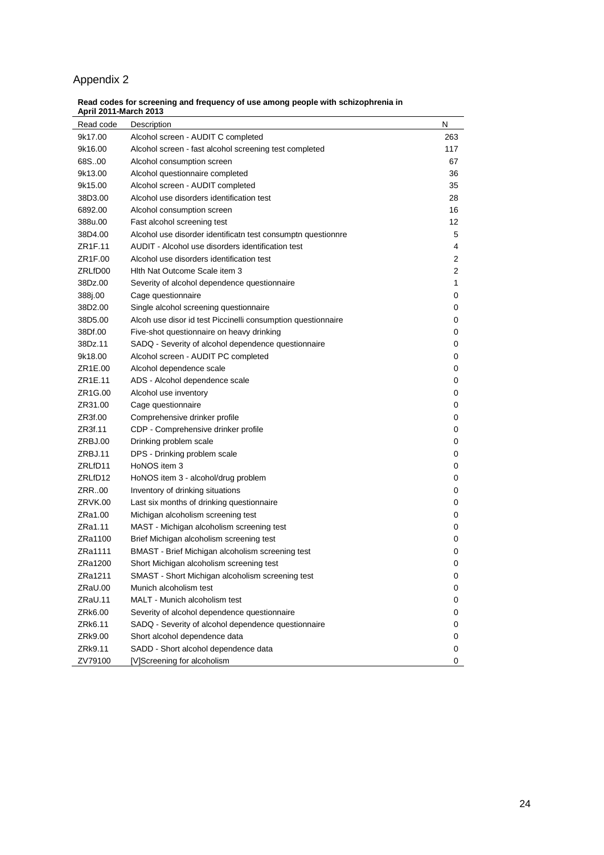# Appendix 2

#### **Read codes for screening and frequency of use among people with schizophrenia in April 2011-March 2013**

| Read code | Description                                                  | Ν            |
|-----------|--------------------------------------------------------------|--------------|
| 9k17.00   | Alcohol screen - AUDIT C completed                           | 263          |
| 9k16.00   | Alcohol screen - fast alcohol screening test completed       | 117          |
| 68S00     | Alcohol consumption screen                                   | 67           |
| 9k13.00   | Alcohol questionnaire completed                              | 36           |
| 9k15.00   | Alcohol screen - AUDIT completed                             | 35           |
| 38D3.00   | Alcohol use disorders identification test                    | 28           |
| 6892.00   | Alcohol consumption screen                                   | 16           |
| 388u.00   | Fast alcohol screening test                                  | 12           |
| 38D4.00   | Alcohol use disorder identificatn test consumptn questionnre | 5            |
| ZR1F.11   | AUDIT - Alcohol use disorders identification test            | 4            |
| ZR1F.00   | Alcohol use disorders identification test                    | 2            |
| ZRLfD00   | Hith Nat Outcome Scale item 3                                | 2            |
| 38Dz.00   | Severity of alcohol dependence questionnaire                 | $\mathbf{1}$ |
| 388j.00   | Cage questionnaire                                           | 0            |
| 38D2.00   | Single alcohol screening questionnaire                       | 0            |
| 38D5.00   | Alcoh use disor id test Piccinelli consumption questionnaire | 0            |
| 38Df.00   | Five-shot questionnaire on heavy drinking                    | 0            |
| 38Dz.11   | SADQ - Severity of alcohol dependence questionnaire          | 0            |
| 9k18.00   | Alcohol screen - AUDIT PC completed                          | 0            |
| ZR1E.00   | Alcohol dependence scale                                     | 0            |
| ZR1E.11   | ADS - Alcohol dependence scale                               | 0            |
| ZR1G.00   | Alcohol use inventory                                        | 0            |
| ZR31.00   | Cage questionnaire                                           | 0            |
| ZR3f.00   | Comprehensive drinker profile                                | 0            |
| ZR3f.11   | CDP - Comprehensive drinker profile                          | 0            |
| ZRBJ.00   | Drinking problem scale                                       | 0            |
| ZRBJ.11   | DPS - Drinking problem scale                                 | 0            |
| ZRLfD11   | HoNOS item 3                                                 | 0            |
| ZRLfD12   | HoNOS item 3 - alcohol/drug problem                          | 0            |
| ZRR00     | Inventory of drinking situations                             | 0            |
| ZRVK.00   | Last six months of drinking questionnaire                    | 0            |
| ZRa1.00   | Michigan alcoholism screening test                           | 0            |
| ZRa1.11   | MAST - Michigan alcoholism screening test                    | 0            |
| ZRa1100   | Brief Michigan alcoholism screening test                     | 0            |
| ZRa1111   | BMAST - Brief Michigan alcoholism screening test             | 0            |
| ZRa1200   | Short Michigan alcoholism screening test                     | 0            |
| ZRa1211   | SMAST - Short Michigan alcoholism screening test             | 0            |
| ZRaU.00   | Munich alcoholism test                                       | 0            |
| ZRaU.11   | MALT - Munich alcoholism test                                | 0            |
| ZRk6.00   | Severity of alcohol dependence questionnaire                 | 0            |
| ZRk6.11   | SADQ - Severity of alcohol dependence questionnaire          | 0            |
| ZRk9.00   | Short alcohol dependence data                                | 0            |
| ZRk9.11   | SADD - Short alcohol dependence data                         | 0            |
| ZV79100   | [V]Screening for alcoholism                                  | 0            |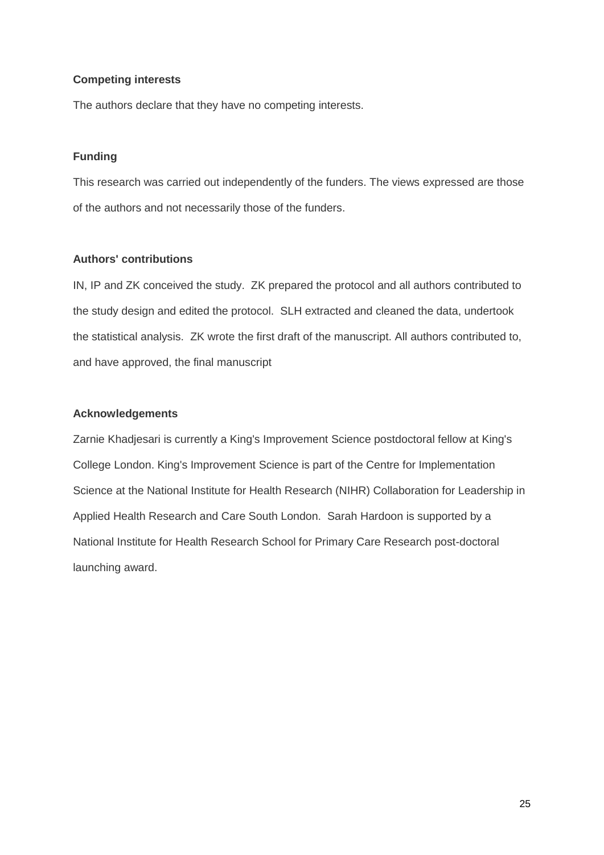# **Competing interests**

The authors declare that they have no competing interests.

# **Funding**

This research was carried out independently of the funders. The views expressed are those of the authors and not necessarily those of the funders.

# **Authors' contributions**

IN, IP and ZK conceived the study. ZK prepared the protocol and all authors contributed to the study design and edited the protocol. SLH extracted and cleaned the data, undertook the statistical analysis. ZK wrote the first draft of the manuscript. All authors contributed to, and have approved, the final manuscript

# **Acknowledgements**

Zarnie Khadjesari is currently a King's Improvement Science postdoctoral fellow at King's College London. King's Improvement Science is part of the Centre for Implementation Science at the National Institute for Health Research (NIHR) Collaboration for Leadership in Applied Health Research and Care South London. Sarah Hardoon is supported by a National Institute for Health Research School for Primary Care Research post-doctoral launching award.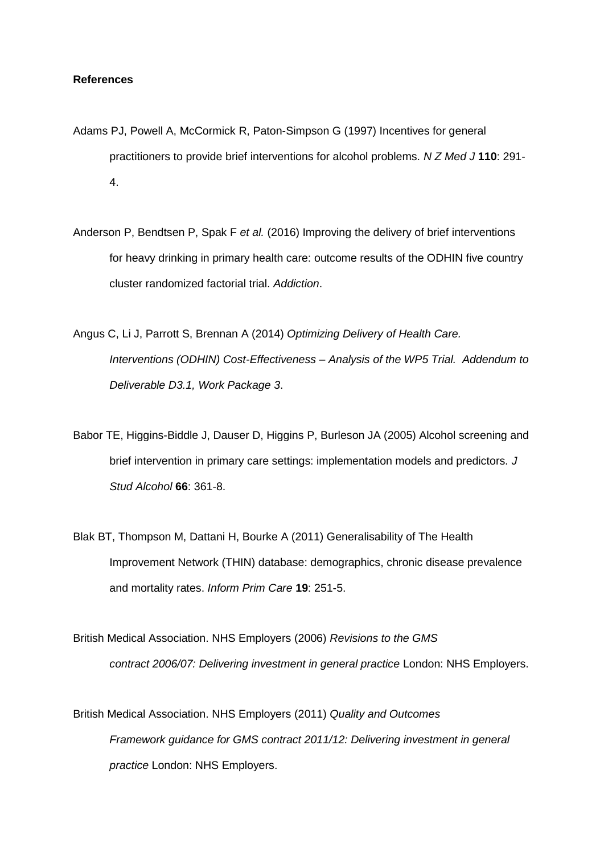# **References**

- Adams PJ, Powell A, McCormick R, Paton-Simpson G (1997) Incentives for general practitioners to provide brief interventions for alcohol problems. *N Z Med J* **110**: 291- 4.
- Anderson P, Bendtsen P, Spak F *et al.* (2016) Improving the delivery of brief interventions for heavy drinking in primary health care: outcome results of the ODHIN five country cluster randomized factorial trial. *Addiction*.
- Angus C, Li J, Parrott S, Brennan A (2014) *Optimizing Delivery of Health Care. Interventions (ODHIN) Cost-Effectiveness – Analysis of the WP5 Trial. Addendum to Deliverable D3.1, Work Package 3*.
- Babor TE, Higgins-Biddle J, Dauser D, Higgins P, Burleson JA (2005) Alcohol screening and brief intervention in primary care settings: implementation models and predictors. *J Stud Alcohol* **66**: 361-8.
- Blak BT, Thompson M, Dattani H, Bourke A (2011) Generalisability of The Health Improvement Network (THIN) database: demographics, chronic disease prevalence and mortality rates. *Inform Prim Care* **19**: 251-5.
- British Medical Association. NHS Employers (2006) *Revisions to the GMS contract 2006/07: Delivering investment in general practice* London: NHS Employers.
- British Medical Association. NHS Employers (2011) *Quality and Outcomes Framework guidance for GMS contract 2011/12: Delivering investment in general practice* London: NHS Employers.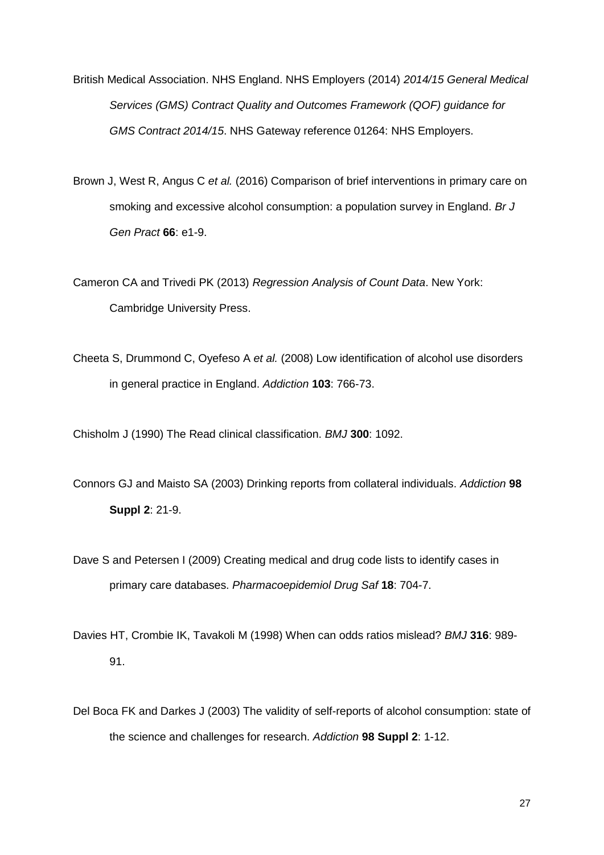British Medical Association. NHS England. NHS Employers (2014) *2014/15 General Medical Services (GMS) Contract Quality and Outcomes Framework (QOF) guidance for GMS Contract 2014/15*. NHS Gateway reference 01264: NHS Employers.

Brown J, West R, Angus C *et al.* (2016) Comparison of brief interventions in primary care on smoking and excessive alcohol consumption: a population survey in England. *Br J Gen Pract* **66**: e1-9.

Cameron CA and Trivedi PK (2013) *Regression Analysis of Count Data*. New York: Cambridge University Press.

Cheeta S, Drummond C, Oyefeso A *et al.* (2008) Low identification of alcohol use disorders in general practice in England. *Addiction* **103**: 766-73.

Chisholm J (1990) The Read clinical classification. *BMJ* **300**: 1092.

- Connors GJ and Maisto SA (2003) Drinking reports from collateral individuals. *Addiction* **98 Suppl 2**: 21-9.
- Dave S and Petersen I (2009) Creating medical and drug code lists to identify cases in primary care databases. *Pharmacoepidemiol Drug Saf* **18**: 704-7.
- Davies HT, Crombie IK, Tavakoli M (1998) When can odds ratios mislead? *BMJ* **316**: 989- 91.
- Del Boca FK and Darkes J (2003) The validity of self-reports of alcohol consumption: state of the science and challenges for research. *Addiction* **98 Suppl 2**: 1-12.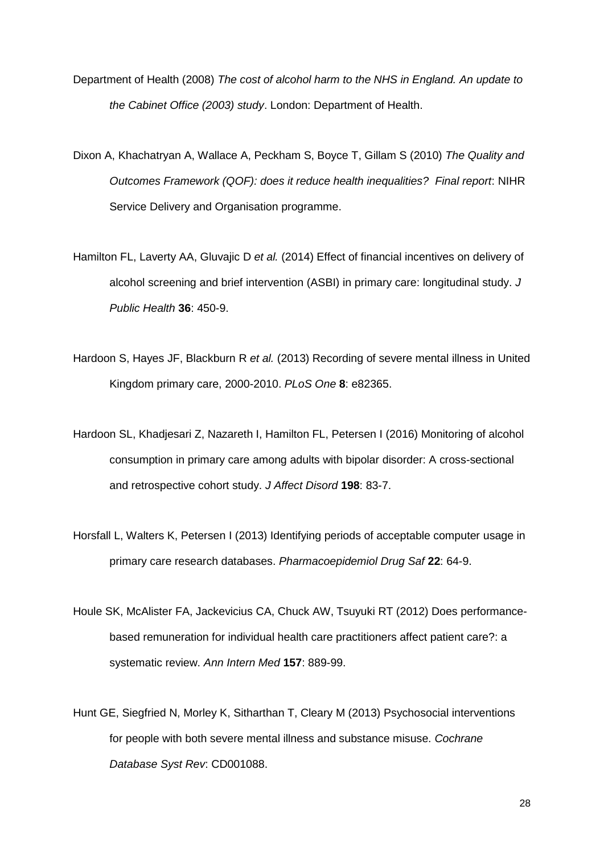- Department of Health (2008) *The cost of alcohol harm to the NHS in England. An update to the Cabinet Office (2003) study*. London: Department of Health.
- Dixon A, Khachatryan A, Wallace A, Peckham S, Boyce T, Gillam S (2010) *The Quality and Outcomes Framework (QOF): does it reduce health inequalities? Final report*: NIHR Service Delivery and Organisation programme.
- Hamilton FL, Laverty AA, Gluvajic D *et al.* (2014) Effect of financial incentives on delivery of alcohol screening and brief intervention (ASBI) in primary care: longitudinal study. *J Public Health* **36**: 450-9.
- Hardoon S, Hayes JF, Blackburn R *et al.* (2013) Recording of severe mental illness in United Kingdom primary care, 2000-2010. *PLoS One* **8**: e82365.
- Hardoon SL, Khadjesari Z, Nazareth I, Hamilton FL, Petersen I (2016) Monitoring of alcohol consumption in primary care among adults with bipolar disorder: A cross-sectional and retrospective cohort study. *J Affect Disord* **198**: 83-7.
- Horsfall L, Walters K, Petersen I (2013) Identifying periods of acceptable computer usage in primary care research databases. *Pharmacoepidemiol Drug Saf* **22**: 64-9.
- Houle SK, McAlister FA, Jackevicius CA, Chuck AW, Tsuyuki RT (2012) Does performancebased remuneration for individual health care practitioners affect patient care?: a systematic review. *Ann Intern Med* **157**: 889-99.
- Hunt GE, Siegfried N, Morley K, Sitharthan T, Cleary M (2013) Psychosocial interventions for people with both severe mental illness and substance misuse. *Cochrane Database Syst Rev*: CD001088.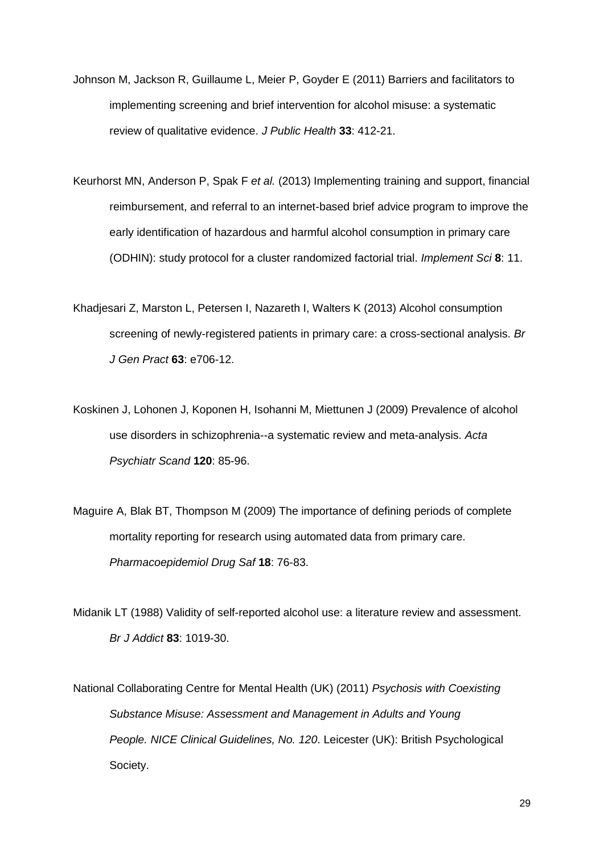- Johnson M, Jackson R, Guillaume L, Meier P, Goyder E (2011) Barriers and facilitators to implementing screening and brief intervention for alcohol misuse: a systematic review of qualitative evidence. *J Public Health* **33**: 412-21.
- Keurhorst MN, Anderson P, Spak F *et al.* (2013) Implementing training and support, financial reimbursement, and referral to an internet-based brief advice program to improve the early identification of hazardous and harmful alcohol consumption in primary care (ODHIN): study protocol for a cluster randomized factorial trial. *Implement Sci* **8**: 11.
- Khadjesari Z, Marston L, Petersen I, Nazareth I, Walters K (2013) Alcohol consumption screening of newly-registered patients in primary care: a cross-sectional analysis. *Br J Gen Pract* **63**: e706-12.
- Koskinen J, Lohonen J, Koponen H, Isohanni M, Miettunen J (2009) Prevalence of alcohol use disorders in schizophrenia--a systematic review and meta-analysis. *Acta Psychiatr Scand* **120**: 85-96.
- Maguire A, Blak BT, Thompson M (2009) The importance of defining periods of complete mortality reporting for research using automated data from primary care. *Pharmacoepidemiol Drug Saf* **18**: 76-83.
- Midanik LT (1988) Validity of self-reported alcohol use: a literature review and assessment. *Br J Addict* **83**: 1019-30.
- National Collaborating Centre for Mental Health (UK) (2011) *Psychosis with Coexisting Substance Misuse: Assessment and Management in Adults and Young People. NICE Clinical Guidelines, No. 120*. Leicester (UK): British Psychological Society.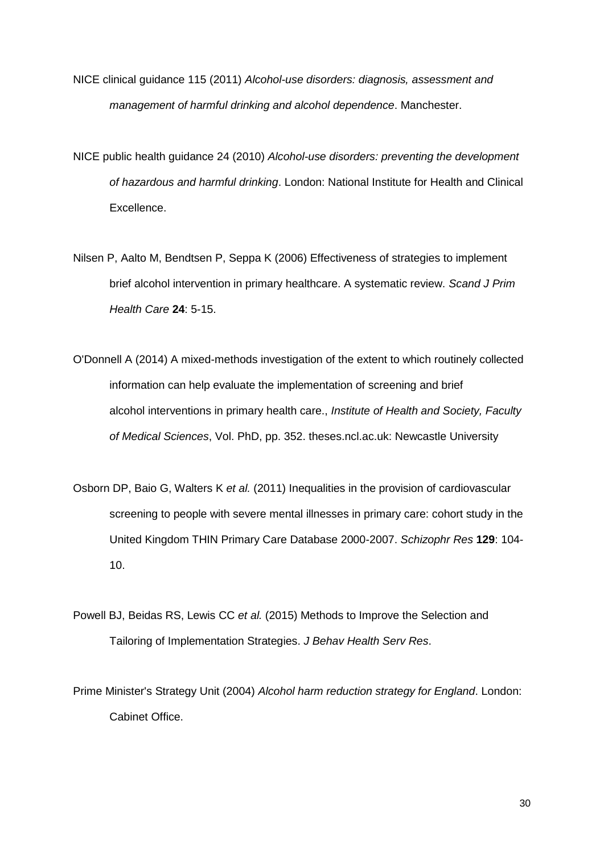- NICE clinical guidance 115 (2011) *Alcohol-use disorders: diagnosis, assessment and management of harmful drinking and alcohol dependence*. Manchester.
- NICE public health guidance 24 (2010) *Alcohol-use disorders: preventing the development of hazardous and harmful drinking*. London: National Institute for Health and Clinical Excellence.
- Nilsen P, Aalto M, Bendtsen P, Seppa K (2006) Effectiveness of strategies to implement brief alcohol intervention in primary healthcare. A systematic review. *Scand J Prim Health Care* **24**: 5-15.
- O'Donnell A (2014) A mixed-methods investigation of the extent to which routinely collected information can help evaluate the implementation of screening and brief alcohol interventions in primary health care., *Institute of Health and Society, Faculty of Medical Sciences*, Vol. PhD, pp. 352. theses.ncl.ac.uk: Newcastle University
- Osborn DP, Baio G, Walters K *et al.* (2011) Inequalities in the provision of cardiovascular screening to people with severe mental illnesses in primary care: cohort study in the United Kingdom THIN Primary Care Database 2000-2007. *Schizophr Res* **129**: 104- 10.
- Powell BJ, Beidas RS, Lewis CC *et al.* (2015) Methods to Improve the Selection and Tailoring of Implementation Strategies. *J Behav Health Serv Res*.
- Prime Minister's Strategy Unit (2004) *Alcohol harm reduction strategy for England*. London: Cabinet Office.